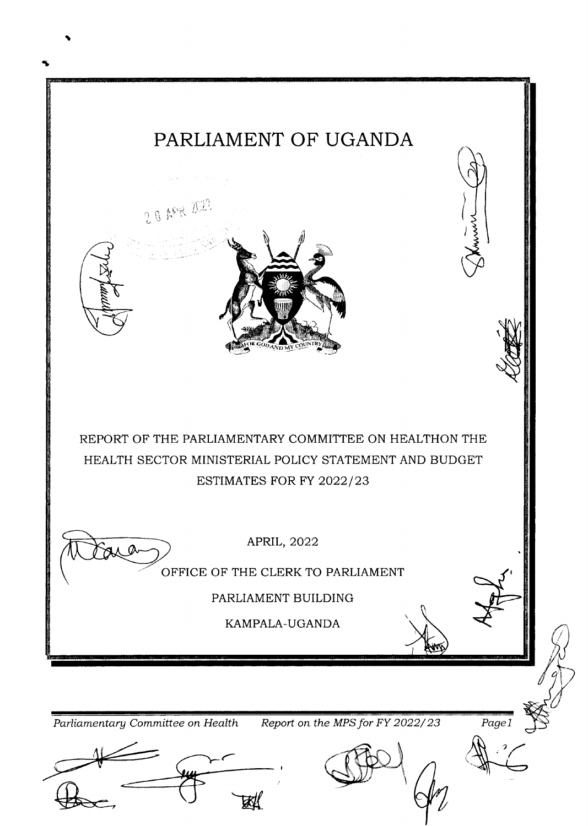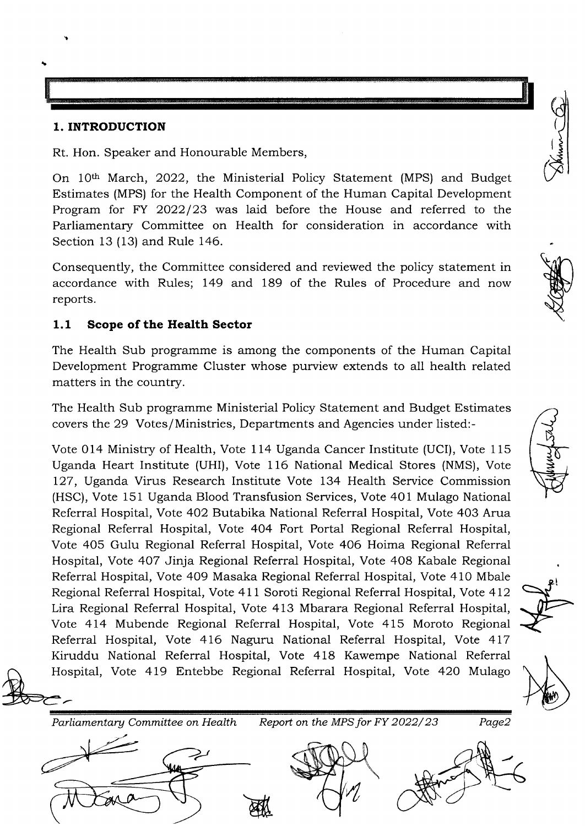1. INTRODUCTION

I

Rt. Hon. Speaker and Honourable Members,

On 10th March, 2022, the Ministerial Policy Statement (MPS) and Budget Estimates (MPS) for the Health Component of the Human Capital Development Program for FY  $2022/23$  was laid before the House and referred to the Parliamentary Committee on Health for consideration in accordance with Section 13 (13) and Rule 146.

Consequently, the Committee considered and reviewed the policy statement in accordance with Rules; 149 and 189 of the Rules of Procedure and now reports.

# 1.1 Scope of the Health Sector

The Health Sub programme is among the components of the Human Capital Development Programme Cluster whose purview extends to all health related matters in the country.

The Health Sub programme Ministerial Policy Statement and Budget Estimates covers the 29 Votes/Ministries, Departments and Agencies under listed:-

Vote 014 Ministry of Health, Vote 114 Uganda Cancer Institute (UCI), Vote 115 Uganda Heart Institute (UHI), Vote 116 National Medical Stores (NMS), Vote 127, Uganda Virus Research Institute Vote 134 Health Service Commission (HSC), Vote 151 Uganda Blood Transfusion Services, Vote 401 Mulago National Referral Hospital, Vote 4O2 Butabika National Referral Hospital, Vote 403 Arua Regional Referral Hospital, Vote 4O4 Fort Portal Regional Referral Hospital, Vote 405 Gulu Regional Referral Hospital, Vote 406 Hoima Regional Referral Hospital, Vote 4O7 Jinja Regional Referral Hospital, Vote 4O8 Kabale Regional Referral Hospital, Vote 409 Masaka Regional Referral Hospital, Vote 410 Mbale Regional Referral Hospital, Vote 411 Soroti Regional Referral Hospital, Vote 412 Lira Regional Referral Hospital, Vote 413 Mbarara Regional Referral Hospital, Vote 414 Mubende Regional Referral Hospital, Vote 415 Moroto Regional Referral Hospital, Vote 416 Naguru National Referral Hospital, Vote 417 Kiruddu National Referral Hospital, Vote 418 Kawempe National Referral Hospital, Vote 4I9 Entebbe Regional Referral Hospital, Vote 42O Mulago

Parliamentary Committee on Health Report on the MPS for FY 2022/23 Page2



**WHAT** 





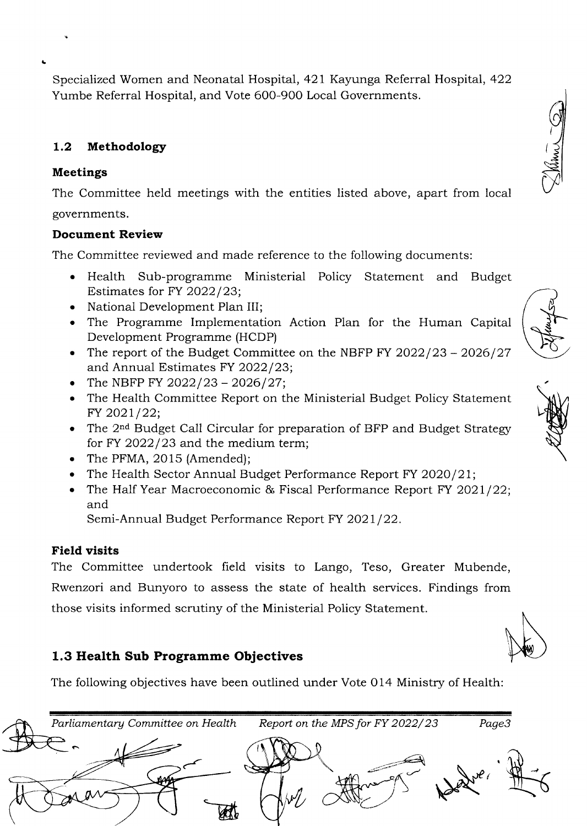Specialized Women and Neonatal Hospital,42l Kayunga Referral Hospital,422 Yumbe Referral Hospital, and Vote 600-900 Local Governments.

## 1.2 Methodology

### Meetings

The Committee held meetings with the entities listed above, apart from local governments.

### Document Review

The Committee reviewed and made reference to the following documents:

- Health Sub-programme Ministerial Policy Statement and Budget Estimates for FY  $2022/23$ ;
- National Development Plan III;
- The Programme Implementation Action Plan for the Human Capital Development Programme (HCDP)
- The report of the Budget Committee on the NBFP FY  $2022/23 2026/27$ and Annual Estimates FY 2022/23;
- The NBFP FY  $2022/23 2026/27$ ;
- The Health Committee Report on the Ministerial Budget Policy Statement FY 2021/22;
- The 2<sup>nd</sup> Budget Call Circular for preparation of BFP and Budget Strategy for FY  $2022/23$  and the medium term;
- . The PFMA, 2Ol5 (Amended);
- The Health Sector Annual Budget Performance Report FY 2020/21;
- The Half Year Macroeconomic & Fiscal Performance Report FY 2021/22; and

Semi-Annual Budget Performance Report FY 2021/22.

#### Field visits

The Committee undertook field visits to Lango, Teso, Greater Mubende, Rwenzori and Bunyoro to assess the state of health services. Findings from those visits informed scrutiny of the Ministerial Policy Statement.

# 1.3 Health Sub Programme Objectives

The following objectives have been outlined under Vote O14 Ministry of Health





NO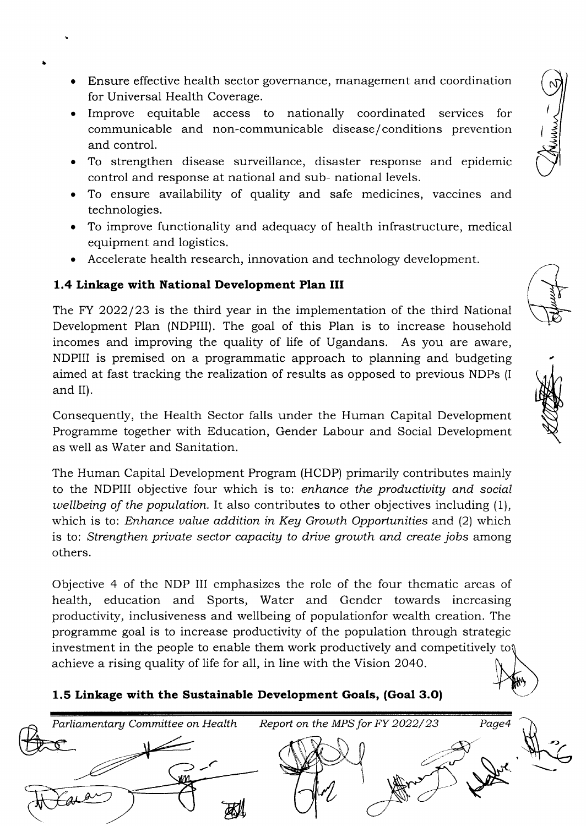- 
- Ensure effective health sector governance, management and coordination a for Universal Health Coverage.
- Improve equitable access to nationally coordinated services for a communicable and non-communicable disease/conditions prevention and control.
- To strengthen disease surveillance, disaster response and epidemic control and response at national and sub- national levels.
- To ensure availability of quality and safe medicines, vaccines and o technologies.
- To improve functionality and adequacy of health infrastructure, medical o equipment and logistics.
- $\bullet$  Accelerate health research, innovation and technology development

### 1.4 Linkage with National Development Plan III

I

The FY  $2022/23$  is the third year in the implementation of the third National Development Plan (NDPIII). The goal of this Plan is to increase household incomes and improving the quality of life of Ugandans. As you are aware, NDPIII is premised on a programmatic approach to planning and budgeting aimed at fast tracking the realization of results as opposed to previous NDPs (I and II).

Consequently, the Health Sector falls under the Human Capital Development Programme together with Education, Gender Labour and Social Development as well as Water and Sanitation.

The Human Capital Development Program (HCDP) primarily contributes mainly to the NDPIII objective four which is to: enhance the productivity and social wellbeing of the population. It also contributes to other objectives including  $(1)$ , which is to: Enhance value addition in Key Growth Opportunities and  $(2)$  which is to: Strengthen private sector capacity to drive growth and create jobs among others.

Objective 4 of the NDP III emphasizes the role of the four thematic areas of health, education and Sports, Water and Gender towards increasing productivity, inclusiveness and wellbeing of populationfor wealth creation. The programme goal is to increase productivity of the population through strategic investment in the people to enable them work productively and competitively to achieve a rising quality of life for all, in line with the Vision 2O4O

## 1.5 Linkage with the Sustainable Development Goals, (Goal 3.0)

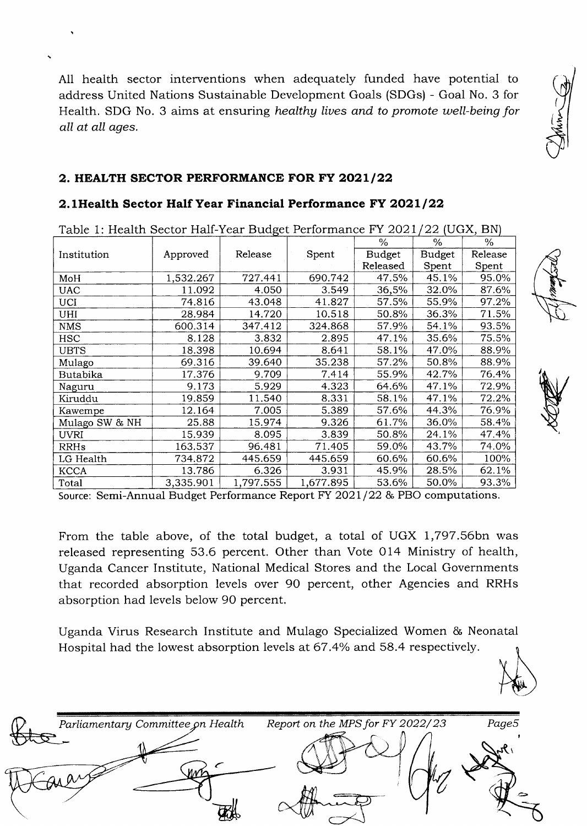All health sector interventions when adequately funded have potential to address United Nations Sustainable Development Goals (SDGs) - Goal No. 3 for Health. SDG No. 3 aims at ensuring healthy lives and to promote well-being for all at all ages.

#### 2. HEALTH SECTOR PERFORMANCE FOR FY 2021/22

#### 2.1Health Sector Half Year Financial Performance FY 2021/22

Table 1: Health Sector Half-Year Budget Performance FY 2021/22 (UGX, BN)

|                |           |           |           | $\%$     | $\%$   | %       |
|----------------|-----------|-----------|-----------|----------|--------|---------|
| Institution    | Approved  | Release   | Spent     | Budget   | Budget | Release |
|                |           |           |           | Released | Spent  | Spent   |
| MoH            | 1,532.267 | 727.441   | 690.742   | 47.5%    | 45.1%  | 95.0%   |
| <b>UAC</b>     | 11.092    | 4.050     | 3.549     | 36,5%    | 32.0%  | 87.6%   |
| UCI            | 74.816    | 43.048    | 41.827    | 57.5%    | 55.9%  | 97.2%   |
| UHI            | 28.984    | 14.720    | 10.518    | 50.8%    | 36.3%  | 71.5%   |
| <b>NMS</b>     | 600.314   | 347.412   | 324.868   | 57.9%    | 54.1%  | 93.5%   |
| <b>HSC</b>     | 8.128     | 3.832     | 2.895     | 47.1%    | 35.6%  | 75.5%   |
| <b>UBTS</b>    | 18.398    | 10.694    | 8.641     | 58.1%    | 47.0%  | 88.9%   |
| Mulago         | 69.316    | 39.640    | 35.238    | 57.2%    | 50.8%  | 88.9%   |
| Butabika       | 17.376    | 9.709     | 7.414     | 55.9%    | 42.7%  | 76.4%   |
| Naguru         | 9.173     | 5.929     | 4.323     | 64.6%    | 47.1%  | 72.9%   |
| Kiruddu        | 19.859    | 11.540    | 8.331     | 58.1%    | 47.1%  | 72.2%   |
| Kawempe        | 12.164    | 7.005     | 5.389     | 57.6%    | 44.3%  | 76.9%   |
| Mulago SW & NH | 25.88     | 15.974    | 9.326     | 61.7%    | 36.0%  | 58.4%   |
| UVRI           | 15.939    | 8.095     | 3.839     | 50.8%    | 24.1%  | 47.4%   |
| <b>RRHs</b>    | 163.537   | 96.481    | 71.405    | 59.0%    | 43.7%  | 74.0%   |
| LG Health      | 734.872   | 445.659   | 445.659   | 60.6%    | 60.6%  | 100%    |
| <b>KCCA</b>    | 13.786    | 6.326     | 3.931     | 45.9%    | 28.5%  | 62.1%   |
| Total          | 3,335.901 | 1,797.555 | 1,677.895 | 53.6%    | 50.0%  | 93.3%   |

Source: Semi-Annual Budget Performance Report FY 2021/22 & PBO computations.

From the table above, of the total budget, a total of UGX 1,797.56bn was released representing 53.6 percent. Other than Vote 014 Ministry of health, Uganda Cancer Institute, National Medical Stores and the Local Governments that recorded absorption levels over 90 percent, other Agencies and RRHs absorption had levels below 90 percent.

Uganda Virus Research Institute and Mulago Specialized Women & Neonatal Hospital had the lowest absorption levels at 67.4% and 58.4 respectively.



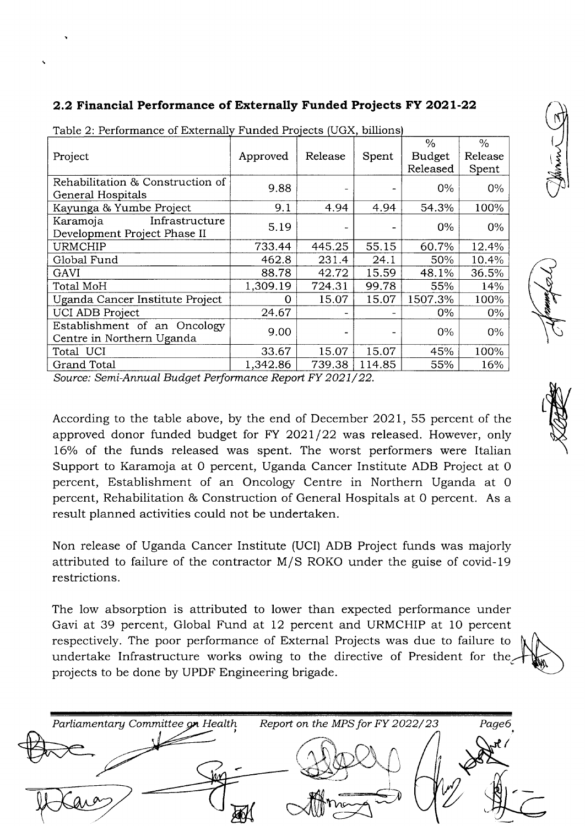### 2.2 Financial Performance of Externally Funded Projects FY 2021-22

|                                                       |          | ---- , - ---,            |        |                         |                          |
|-------------------------------------------------------|----------|--------------------------|--------|-------------------------|--------------------------|
| Project                                               | Approved | Release                  | Spent  | $\frac{0}{0}$<br>Budget | $\frac{0}{0}$<br>Release |
|                                                       |          |                          |        | Released                | Spent                    |
| Rehabilitation & Construction of<br>General Hospitals | 9.88     |                          |        | $0\%$                   | $0\%$                    |
| Kayunga & Yumbe Project                               | 9.1      | 4.94                     | 4.94   | 54.3%                   | 100%                     |
| Infrastructure<br>Karamoja                            | 5.19     |                          |        | $0\%$                   | $0\%$                    |
| Development Project Phase II                          |          |                          |        |                         |                          |
| <b>URMCHIP</b>                                        | 733.44   | 445.25                   | 55.15  | 60.7%                   | 12.4%                    |
| Global Fund                                           | 462.8    | 231.4                    | 24.1   | 50%                     | 10.4%                    |
| GAVI                                                  | 88.78    | 42.72                    | 15.59  | 48.1%                   | 36.5%                    |
| <b>Total MoH</b>                                      | 1,309.19 | 724.31                   | 99.78  | 55%                     | 14%                      |
| Uganda Cancer Institute Project                       | O        | 15.07                    | 15.07  | 1507.3%                 | 100%                     |
| <b>UCI ADB Project</b>                                | 24.67    |                          |        | $0\%$                   | $0\%$                    |
| Establishment of an Oncology                          | 9.00     |                          |        | $0\%$                   | $0\%$                    |
| Centre in Northern Uganda                             |          | $\overline{\phantom{a}}$ |        |                         |                          |
| Total UCI                                             | 33.67    | 15.07                    | 15.07  | 45%                     | 100%                     |
| <b>Grand Total</b>                                    | 1,342.86 | 739.38                   | 114.85 | 55%                     | 16%                      |
| .                                                     |          |                          |        |                         |                          |

Table 2: Performance of Externally Funded Projects (UGX billions)

Source: Semi-Annual Budget Performance Report FY 2021/22.

According to the table above, by the end of December 2021, 55 percent of the approved donor funded budget for FY 2021/22 was released. However, only 16% of the funds released was spent. The worst performers were Italian Support to Karamoja at 0 percent, Uganda Cancer Institute ADB Project at 0 percent, Establishment of an Oncology Centre in Northern Uganda at 0 percent, Rehabilitation & Construction of General Hospitals at 0 percent. As a result planned activities could not be undertaken.

Non release of Uganda Cancer Institute (UCI) ADB Project funds was majorly attributed to failure of the contractor M/S ROKO under the guise of covid-19 restrictions.

The low absorption is attributed to lower than expected performance under Gavi at 39 percent, Global Fund at 12 percent and URMCHIP at 10 percent respectively. The poor performance of External Projects was due to failure to undertake Infrastructure works owing to the directive of President for the projects to be done by UPDF Engineering brigade.



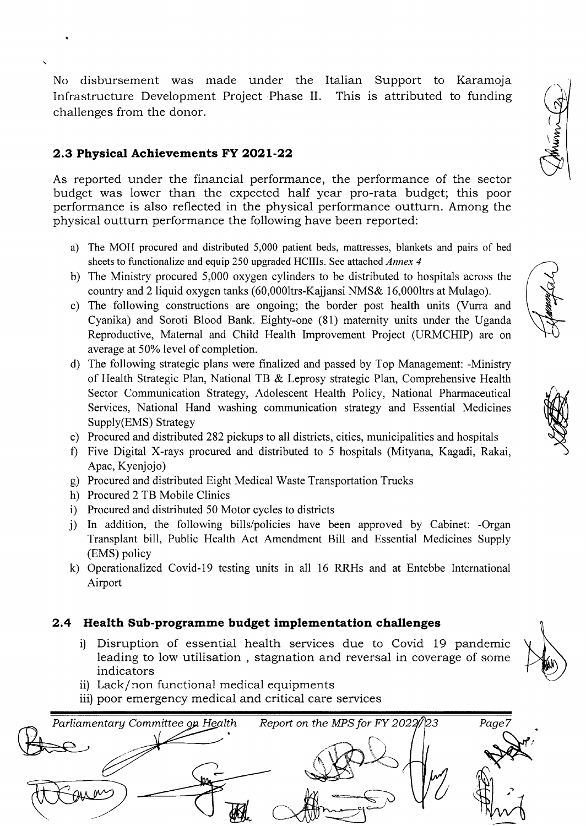(

No disbursement was made under the Italian Support to Karamoja Infrastructure Development Project Phase II This is attributed to funding challenges from the donor.

#### 2.3 Physical Achievements FY 2O2l-22

As reported under the financial performance, the performance of the sector budget was lower than the expected half year pro-rata budget; this poor performance is also reflected in the physical performance outturn. Among the physical outturn performance the following have been reported:

- a) The MOH procured and distributed 5,000 patient beds, mattresses, blankets and pairs of bed sheets to functionalize and equip 250 upgraded HCIIIs. See attached Annex 4
- b) The Ministry procured 5,000 oxygen cylinders to be distributed to hospitals across the country and 2 liquid oxygen tanks (60,000ltrs-Kajjansi NMS& 16,000ltrs at Mulago).
- c) The following constructions are ongoing; the border post health units (Vurra and Cyanika) and Soroti Blood Bank. Eighty-one (81) maternity units under the Uganda Reproductive, Maternal and Child Health Improvement Project (URMCHIP) are on average at 50% level of completion.
- d) The following strategic plans were finalized and passed by Top Management: -Ministry of Health Strategic Plan, National TB & Leprosy strategic Plan, Comprehensive Health Sector Communication Strategy, Adolescent Health Policy, National Pharmaceutical Services, National Hand washing communication strategy and Essential Medicines Supply(EMS) Strategy
- e) Procured and distributed2S2 pickups to all districts, cities, municipalities and hospitals
- 0 Five Digital X-rays procured and distributed to 5 hospitals (Mityana, Kagadi, Rakai, Apac, Kyenjojo)
- g) Procured and distributed Eight Medical Waste Transportation Trucks
- h) Procured 2 TB Mobile Clinics
- i) Procured and distributed 50 Motor cycles to districts
- j) In addition, the following bills/policies have been approved by Cabinet: -Organ Transplant bill, Public Health Act Amendment Bill and Essential Medicines Supply (EMS) policy
- k) Operationalized Covid-19 testing units in all 16 RRHs and at Entebbe International Airport

#### 2.4 Health Sub-programme budget implementation challenges

- i) Disruption of essential health services due to Covid 19 pandemic leading to low utilisation , stagnation and reversal in coverage of some indicators
- ii) Lack/non functional medical equipments
- iii) poor emergency medical and critical care services



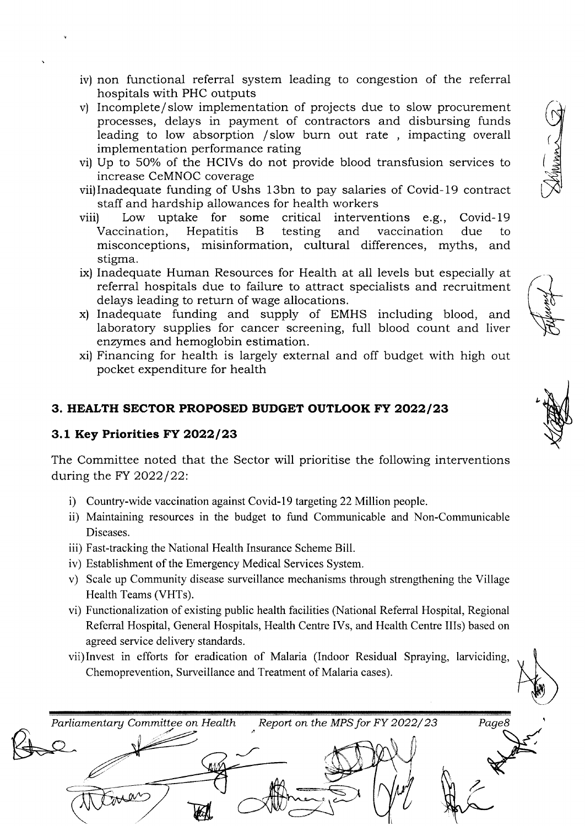- v) Incomplete/slow implementation of projects due to slow procurement processes, delays in payment of contractors and disbursing funds leading to low absorption /slow burn out rate , impacting overall implementation performance rating
- vi) Up to 50% of the HCIVs do not provide blood transfusion services to increase CeMNOC coverage
- vii)lnadequate funding of Ushs 13bn to pay salaries of Covid-19 contract staff and hardship allowances for health workers
- viii) Low uptake for some critical interventions e.g., Covid-19<br>Vaccination. Hepatitis B testing and vaccination due to Vaccination, Hepatitis B testing and vaccination due to misconceptions, misinformation, cultural differences, myths, and stigma.
- ix) Inadequate Human Resources for Health at all levels but especially at referral hospitals due to failure to attract specialists and recruitment delays leading to return of wage allocations.
- x) Inadequate funding and supply of EMHS including blood, and laboratory supplies for cancer screening, full blood count and liver enzymes and hemoglobin estimation.
- xi) Financing for health is largely external and off budget with high out pocket expenditure for health

### 3. HEALTH SECTOR PROPOSED BUDGET OUTLOOK FY 2022/23

#### 3.1 Key Priorities FY 2022/23

The Committee noted that the Sector will prioritise the following interventions during the FY 2022/22:

- i) Country-wide vaccination against Covid-19 targeting 22 Million people.
- ii) Maintaining resources in the budget to fund Communicable and Non-Communicable Diseases.
- iii) Fast-tracking the National Health Insurance Scheme Bill.
- iv) Establishment of the Emergency Medical Services System.
- v) Scale up Community disease surveillance mechanisms through strengthening the Village Health Teams (VHTs).
- vi) Functionalization of existing public health facilities (National Referral Hospital, Regional Referral Hospital, General Hospitals, Health Centre IVs, and Health Centre IIIs) based on agreed service delivery standards.
- vii)Invest in efforts for eradication of Malaria (Indoor Residual Spraying, larviciding, Chemoprevention, Surveillance and Treatment of Malaria cases).



(

L **March**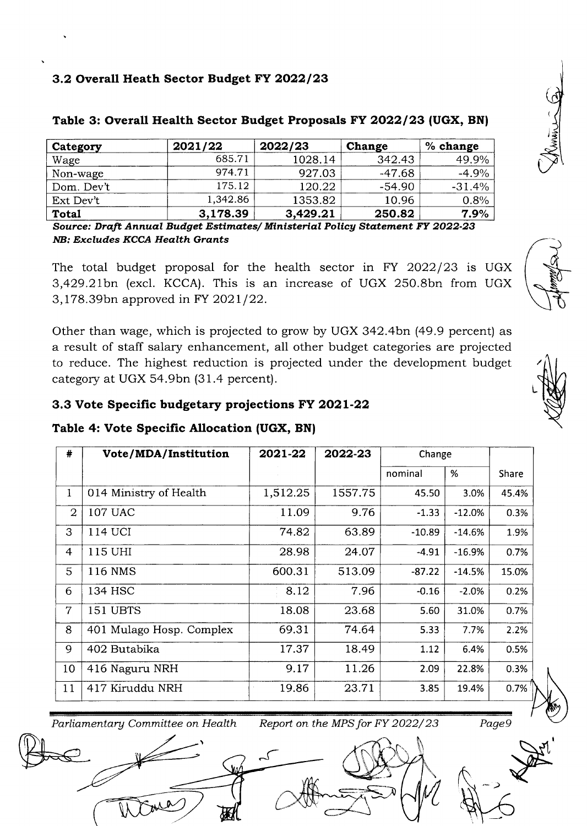## 3.2 Overall Heath Sector Budget FY 2022/23

| Category   | 2021/22  | 2022/23  | Change   | % change |
|------------|----------|----------|----------|----------|
| Wage       | 685.71   | 1028.14  | 342.43   | 49.9%    |
| Non-wage   | 974.71   | 927.03   | $-47.68$ | $-4.9%$  |
| Dom. Dev't | 175.12   | 120.22   | $-54.90$ | $-31.4%$ |
| Ext Dev't  | 1,342.86 | 1353.82  | 10.96    | 0.8%     |
| Total      | 3,178.39 | 3,429.21 | 250.82   | 7.9%     |

#### Table 3: Overall Health Sector Budget Proposals FY 2022/23 (UGX, BN)

Source: Draft Annual Budget Estimates/ Ministerial Policy Statement FY 2022-23 NB: Excludes KCCA Health Grants

The total budget proposal for the health sector in FY 2022/23 is UGX 3,429.21bn (excl. KCCA). This is an increase of UGX 250.8bn from UGX 3,178.39bn approved in FY 2021/22.

Other than wage, which is projected to grow by UGX 342.4bn (49.9 percent) as a result of staff salary enhancement, all other budget categories are projected to reduce. The highest reduction is projected under the development budget category at UGX 54.9bn (31.4 percent).

### 3.3 Vote Specific budgetary projections FY 2021-22

## Table 4: Vote Specific Allocation (UGX, BN)

| #              | Vote/MDA/Institution     | 2021-22  | 2022-23 | Change   |          |         |
|----------------|--------------------------|----------|---------|----------|----------|---------|
|                |                          |          |         | nominal  | %        | Share   |
| 1              | 014 Ministry of Health   | 1,512.25 | 1557.75 | 45.50    | 3.0%     | 45.4%   |
| $\overline{2}$ | <b>107 UAC</b>           | 11.09    | 9.76    | $-1.33$  | $-12.0%$ | 0.3%    |
| 3              | 114 UCI                  | 74.82    | 63.89   | $-10.89$ | $-14.6%$ | 1.9%    |
| $\overline{4}$ | 115 UHI                  | 28.98    | 24.07   | $-4.91$  | $-16.9%$ | 0.7%    |
| 5              | 116 NMS                  | 600.31   | 513.09  | $-87.22$ | $-14.5%$ | 15.0%   |
| 6              | 134 HSC                  | 8.12     | 7.96    | $-0.16$  | $-2.0%$  | 0.2%    |
| $\overline{7}$ | 151 UBTS                 | 18.08    | 23.68   | 5.60     | 31.0%    | 0.7%    |
| 8              | 401 Mulago Hosp. Complex | 69.31    | 74.64   | 5.33     | 7.7%     | 2.2%    |
| 9              | 402 Butabika             | 17.37    | 18.49   | 1.12     | 6.4%     | 0.5%    |
| 10             | 416 Naguru NRH           | 9.17     | 11.26   | 2.09     | 22.8%    | 0.3%    |
| 11             | 417 Kiruddu NRH          | 19.86    | 23.71   | 3.85     | 19.4%    | $0.7\%$ |

Parliamentary Committee on Health Report on the MPS for FY 2022/23 Page9

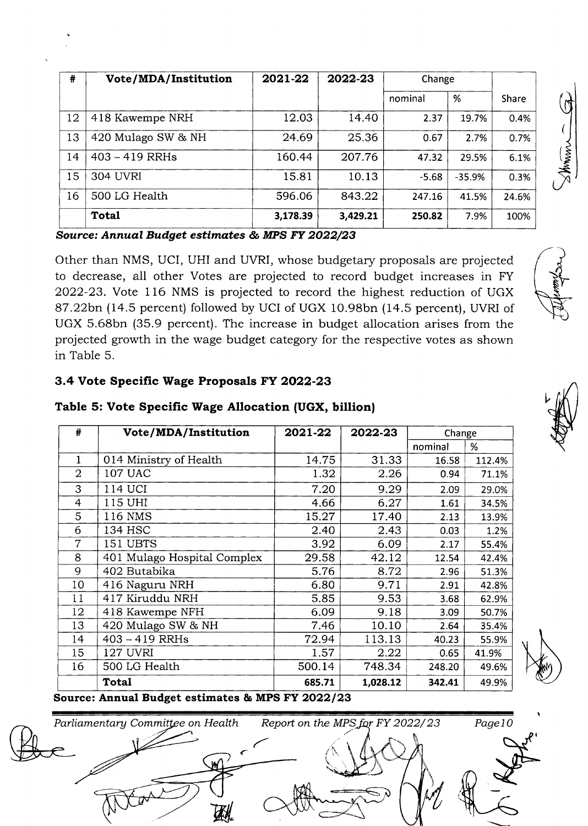| #  | Vote/MDA/Institution | 2021-22  | 2022-23  | Change  |          |       |
|----|----------------------|----------|----------|---------|----------|-------|
|    |                      |          |          | nominal | %        | Share |
| 12 | 418 Kawempe NRH      | 12.03    | 14.40    | 2.37    | 19.7%    | 0.4%  |
| 13 | 420 Mulago SW & NH   | 24.69    | 25.36    | 0.67    | 2.7%     | 0.7%  |
| 14 | $403 - 419$ RRHs     | 160.44   | 207.76   | 47.32   | 29.5%    | 6.1%  |
| 15 | <b>304 UVRI</b>      | 15.81    | 10.13    | $-5.68$ | $-35.9%$ | 0.3%  |
| 16 | 500 LG Health        | 596.06   | 843.22   | 247.16  | 41.5%    | 24.6% |
|    | <b>Total</b>         | 3,178.39 | 3,429.21 | 250.82  | 7.9%     | 100%  |

Source: Annual Budget estimates & MPS FY 2022/23

Other than NMS, UCI, UHI and UVRI, whose budgetary proposals are projected to decrease, all other Votes are projected to record budget increases in FY 2022-23. Vote i 16 NMS is projected to record the highest reduction of UGX 87.22bn (14.5 percent) followed by UCI of UGX 10.98bn (14.5 percent), UVRI of UGX 5.68bn (35.9 percent). The increase in budget allocation arises from the projected growth in the wage budget category for the respective votes as shown in Table 5.

#### 3.4 Vote Specific Wage Proposals FY 2022-23

#### # Vote/MDA/Institution 202L-22 2022-23 Change nominal  $\frac{1}{6}$ 1 | 014 Ministry of Health  $14.75$  |  $31.33$  |  $16.58$  |  $112.4\%$  $2 \left[ \begin{array}{ccc} 107 \textrm{ UAC} \end{array} \right. \hspace{2cm} 1.32 \left[ \begin{array}{ccc} 2.26 \left[ \begin{array}{ccc} \textrm{0.94} \end{array} \right] \end{array} \right. 71.1\%$ 3 114 UCI 7.20 9.29 2.09 29.0% 4 115 UHI 4.66 6.27 7.67 34.5%  $5 | 116 NMS$  15.27 17.40 2.13 13.9%  $6$  | 134 HSC  $\vert$  2.40  $\vert$  2.43  $\vert$  0.03  $\vert$  1.2% 7 151 UBTS 3.92 6.O9 2.77 55.4% 8 401 Mulago Hospital Complex 29.58 42.12 12.54 42.4% 9 402 Butabika 1 5.76 8.72 2.96 51.3% 10 | 416 Naguru NRH 6.80 | 9.71 | 2.91 | 42.8% 11 417 Kiruddu NRH 5.8s 9.53 3.68 62.9% 12 | 418 Kawempe NFH | 6.09 | 9.18 | 3.09 | 50.7% 13 | 420 Mulago SW & NH 7.46 | 10.10 | 2.64 | 35.4% 14 403 - 419 RRHs 72.94 113.13 40.23 55.9%<br>15 127 UVRI 1.57 2.22 0.65 41.9%  $15$  | 127 UVRI  $1.57$  |  $2.22$  | 0.65 41.9% t6 500 LG Health 500.14 748.34 248.20 49.6% **Total 685.71 1,028.12 342.41** 49.9%

#### Table 5: Vote Specific Wage Allocation (UGX, billion)

Source: Annual Budget estimates & MPS FY 2022/23





 $\sum_{i=1}^{n}$ 

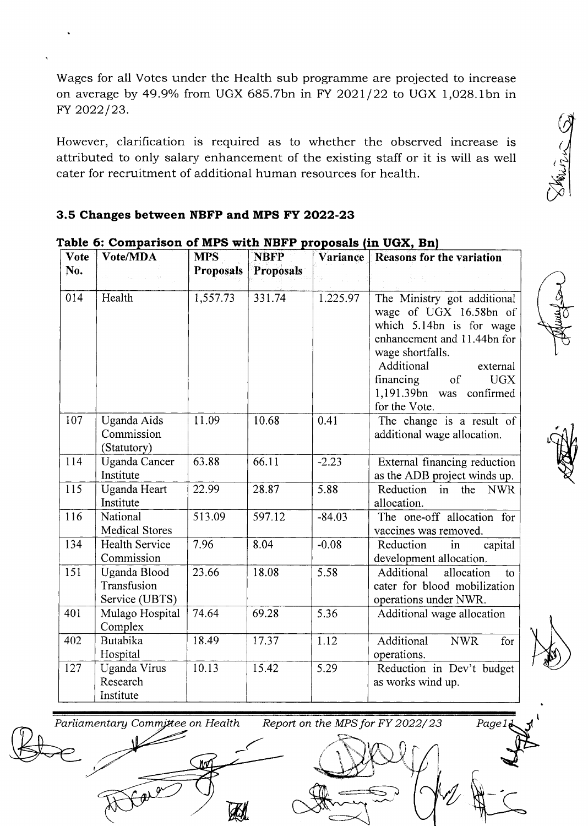Wages for all Votes under the Health sub programme are projected to increase on average by 49.9% from UGX 685.7bn in FY 2021/22 to UGX 1,028.1bn in FY 2022/23.

However, clarification is required as to whether the observed increase is attributed to only salary enhancement of the existing staff or it is will as well cater for recruitment of additional human resources for health.

#### 3.5 Changes between NBFP and MPS FY 2o22-23

| <b>Vote</b> | Vote/MDA                                      | <b>MPS</b>       | <b>NBFP</b>      | Variance | <b>Reasons for the variation</b>                                                                                                                                                                                                             |
|-------------|-----------------------------------------------|------------------|------------------|----------|----------------------------------------------------------------------------------------------------------------------------------------------------------------------------------------------------------------------------------------------|
| No.         |                                               | <b>Proposals</b> | <b>Proposals</b> |          |                                                                                                                                                                                                                                              |
| 014         | Health                                        | 1,557.73         | 331.74           | 1.225.97 | The Ministry got additional<br>wage of UGX 16.58bn of<br>which 5.14bn is for wage<br>enhancement and 11.44bn for<br>wage shortfalls.<br>Additional<br>external<br>financing<br>of<br><b>UGX</b><br>1,191.39bn was confirmed<br>for the Vote. |
| 107         | Uganda Aids<br>Commission<br>(Statutory)      | 11.09            | 10.68            | 0.41     | The change is a result of<br>additional wage allocation.                                                                                                                                                                                     |
| 114         | <b>Uganda Cancer</b><br>Institute             | 63.88            | 66.11            | $-2.23$  | External financing reduction<br>as the ADB project winds up.                                                                                                                                                                                 |
| 115         | <b>Uganda Heart</b><br>Institute              | 22.99            | 28.87            | 5.88     | Reduction<br>in<br><b>NWR</b><br>the<br>allocation.                                                                                                                                                                                          |
| 116         | National<br><b>Medical Stores</b>             | 513.09           | 597.12           | $-84.03$ | The one-off allocation for<br>vaccines was removed.                                                                                                                                                                                          |
| 134         | <b>Health Service</b><br>Commission           | 7.96             | 8.04             | $-0.08$  | Reduction<br>capital<br>in<br>development allocation.                                                                                                                                                                                        |
| 151         | Uganda Blood<br>Transfusion<br>Service (UBTS) | 23.66            | 18.08            | 5.58     | Additional<br>allocation<br>to<br>cater for blood mobilization<br>operations under NWR.                                                                                                                                                      |
| 401         | Mulago Hospital<br>Complex                    | 74.64            | 69.28            | 5.36     | Additional wage allocation                                                                                                                                                                                                                   |
| 402         | Butabika<br>Hospital                          | 18.49            | 17.37            | 1.12     | Additional<br><b>NWR</b><br>for<br>operations.                                                                                                                                                                                               |
| 127         | Uganda Virus<br>Research<br>Institute         | 10.13            | 15.42            | 5.29     | Reduction in Dev't budget<br>as works wind up.                                                                                                                                                                                               |

# Table 6: Comparison of MPS with NBFP proposals (in UGX, B